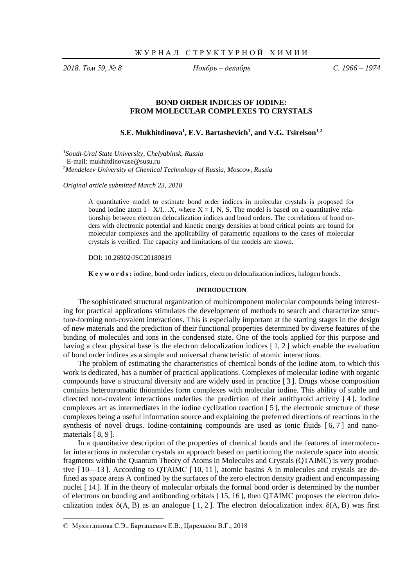*2018. Том 59, № 8 Ноябрь – декабрь С. 1966 – 1974*

# **BOND ORDER INDICES OF IODINE: FROM MOLECULAR COMPLEXES TO CRYSTALS**

**S.E. Mukhitdinova<sup>1</sup> , E.V. Bartashevich<sup>1</sup> , and V.G. Tsirelson1,2**

<sup>1</sup>*South-Ural State University, Chelyabinsk, Russia* E-mail: mukhitdinovase@susu.ru <sup>2</sup>*Mendeleev University of Chemical Technology of Russia, Moscow, Russia*

*Original article submitted March 23, 2018*

A quantitative model to estimate bond order indices in molecular crystals is proposed for bound iodine atom I—X/I…X, where  $X = I$ , N, S. The model is based on a quantitative relationship between electron delocalization indices and bond orders. The correlations of bond orders with electronic potential and kinetic energy densities at bond critical points are found for molecular complexes and the applicability of parametric equations to the cases of molecular crystals is verified. The capacity and limitations of the models are shown.

DOI: 10.26902/JSC20180819

**K e y w o r d s :** iodine, bond order indices, electron delocalization indices, halogen bonds.

## **INTRODUCTION**

The sophisticated structural organization of multicomponent molecular compounds being interesting for practical applications stimulates the development of methods to search and characterize structure-forming non-covalent interactions. This is especially important at the starting stages in the design of new materials and the prediction of their functional properties determined by diverse features of the binding of molecules and ions in the condensed state. One of the tools applied for this purpose and having a clear physical base is the electron delocalization indices [1, 2] which enable the evaluation of bond order indices as a simple and universal characteristic of atomic interactions.

The problem of estimating the characteristics of chemical bonds of the iodine atom, to which this work is dedicated, has a number of practical applications. Complexes of molecular iodine with organic compounds have a structural diversity and are widely used in practice [ 3 ]. Drugs whose composition contains heteroaromatic thioamides form complexes with molecular iodine. This ability of stable and directed non-covalent interactions underlies the prediction of their antithyroid activity [ 4 ]. Iodine complexes act as intermediates in the iodine cyclization reaction [ 5 ], the electronic structure of these complexes being a useful information source and explaining the preferred directions of reactions in the synthesis of novel drugs. Iodine-containing compounds are used as ionic fluids  $\lceil 6, 7 \rceil$  and nanomaterials [ 8, 9 ].

In a quantitative description of the properties of chemical bonds and the features of intermolecular interactions in molecular crystals an approach based on partitioning the molecule space into atomic fragments within the Quantum Theory of Atoms in Molecules and Crystals (QTAIMС) is very productive [ 10—13 ]. According to QTAIMС [ 10, 11 ], atomic basins A in molecules and crystals are defined as space areas A confined by the surfaces of the zero electron density gradient and encompassing nuclei [ 14 ]. If in the theory of molecular orbitals the formal bond order is determined by the number of electrons on bonding and antibonding orbitals [ 15, 16 ], then QTAIMС proposes the electron delocalization index  $\delta(A, B)$  as an analogue [1, 2]. The electron delocalization index  $\delta(A, B)$  was first

1

<sup>©</sup> Мухитдинова С.Э., Барташевич Е.В., Цирельсон В.Г., 2018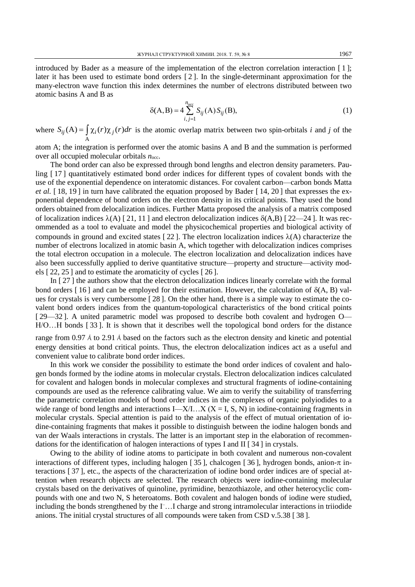introduced by Bader as a measure of the implementation of the electron correlation interaction [ 1 ]; later it has been used to estimate bond orders [ 2 ]. In the single-determinant approximation for the many-electron wave function this index determines the number of electrons distributed between two atomic basins A and B as

$$
\delta(A, B) = 4 \sum_{i,j=1}^{n_{\text{occ}}} S_{ij}(A) S_{ij}(B),
$$
\n(1)

where A  $S_{ij}(A) = \int \chi_i(r) \chi_j(r) dr$  is the atomic overlap matrix between two spin-orbitals *i* and *j* of the

atom A; the integration is performed over the atomic basins A and B and the summation is performed over all occupied molecular orbitals *n*occ.

The bond order can also be expressed through bond lengths and electron density parameters. Pauling [ 17 ] quantitatively estimated bond order indices for different types of covalent bonds with the use of the exponential dependence on interatomic distances. For covalent carbon—carbon bonds Matta *et al.* [18, 19] in turn have calibrated the equation proposed by Bader [14, 20] that expresses the exponential dependence of bond orders on the electron density in its critical points. They used the bond orders obtained from delocalization indices. Further Matta proposed the analysis of a matrix composed of localization indices  $\lambda(A)$  [21, 11] and electron delocalization indices  $\delta(A,B)$  [22—24]. It was recommended as a tool to evaluate and model the physicochemical properties and biological activity of compounds in ground and excited states [22]. The electron localization indices  $\lambda(A)$  characterize the number of electrons localized in atomic basin A, which together with delocalization indices comprises the total electron occupation in a molecule. The electron localization and delocalization indices have also been successfully applied to derive quantitative structure—property and structure—activity models [ 22, 25 ] and to estimate the aromaticity of cycles [ 26 ].

In [ 27 ] the authors show that the electron delocalization indices linearly correlate with the formal bond orders [16] and can be employed for their estimation. However, the calculation of  $\delta(A, B)$  values for crystals is very cumbersome [ 28 ]. On the other hand, there is a simple way to estimate the covalent bond orders indices from the quantum-topological characteristics of the bond critical points [ 29—32 ]. A united parametric model was proposed to describe both covalent and hydrogen O— H/O…H bonds [ 33 ]. It is shown that it describes well the topological bond orders for the distance

range from 0.97 Å to 2.91 Å based on the factors such as the electron density and kinetic and potential energy densities at bond critical points. Thus, the electron delocalization indices act as a useful and convenient value to calibrate bond order indices.

In this work we consider the possibility to estimate the bond order indices of covalent and halogen bonds formed by the iodine atoms in molecular crystals. Electron delocalization indices calculated for covalent and halogen bonds in molecular complexes and structural fragments of iodine-containing compounds are used as the reference calibrating value. We aim to verify the suitability of transferring the parametric correlation models of bond order indices in the complexes of organic polyiodides to a wide range of bond lengths and interactions  $I - X/I...X$  ( $X = I$ , S, N) in iodine-containing fragments in molecular crystals. Special attention is paid to the analysis of the effect of mutual orientation of iodine-containing fragments that makes it possible to distinguish between the iodine halogen bonds and van der Waals interactions in crystals. The latter is an important step in the elaboration of recommendations for the identification of halogen interactions of types I and II [ 34 ] in crystals.

Owing to the ability of iodine atoms to participate in both covalent and numerous non-covalent interactions of different types, including halogen [35], chalcogen [36], hydrogen bonds, anion- $\pi$  interactions [ 37 ], etc., the aspects of the characterization of iodine bond order indices are of special attention when research objects are selected. The research objects were iodine-containing molecular crystals based on the derivatives of quinoline, pyrimidine, benzothiazole, and other heterocyclic compounds with one and two N, S heteroatoms. Both covalent and halogen bonds of iodine were studied, including the bonds strengthened by the I –…I charge and strong intramolecular interactions in triiodide anions. The initial crystal structures of all compounds were taken from CSD v.5.38 [ 38 ].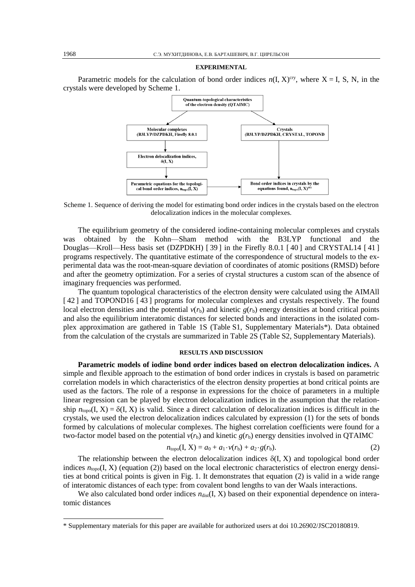#### **EXPERIMENTAL**

Parametric models for the calculation of bond order indices  $n(I, X)^{cry}$ , where  $X = I$ , S, N, in the crystals were developed by Scheme 1.



Scheme 1. Sequence of deriving the model for estimating bond order indices in the crystals based on the electron delocalization indices in the molecular complexes.

The equilibrium geometry of the considered iodine-containing molecular complexes and crystals was obtained by the Kohn—Sham method with the B3LYP functional and the Douglas—Kroll—Hess basis set (DZPDKH) [ 39 ] in the Firefly 8.0.1 [ 40 ] and CRYSTAL14 [ 41 ] programs respectively. The quantitative estimate of the correspondence of structural models to the experimental data was the root-mean-square deviation of coordinates of atomic positions (RMSD) before and after the geometry optimization. For a series of crystal structures a custom scan of the absence of imaginary frequencies was performed.

The quantum topological characteristics of the electron density were calculated using the AIMAll [42] and TOPOND16 [43] programs for molecular complexes and crystals respectively. The found local electron densities and the potential  $v(r_b)$  and kinetic  $g(r_b)$  energy densities at bond critical points and also the equilibrium interatomic distances for selected bonds and interactions in the isolated complex approximation are gathered in Table 1S (Table S1, Supplementary Materials\*). Data obtained from the calculation of the crystals are summarized in Table 2S (Table S2, Supplementary Materials).

#### **RESULTS AND DISCUSSION**

**Parametric models of iodine bond order indices based on electron delocalization indices.** A simple and flexible approach to the estimation of bond order indices in crystals is based on parametric correlation models in which characteristics of the electron density properties at bond critical points are used as the factors. The role of a response in expressions for the choice of parameters in a multiple linear regression can be played by electron delocalization indices in the assumption that the relationship  $n_{\text{topo}}(I, X) = \delta(I, X)$  is valid. Since a direct calculation of delocalization indices is difficult in the crystals, we used the electron delocalization indices calculated by expression (1) for the sets of bonds formed by calculations of molecular complexes. The highest correlation coefficients were found for a two-factor model based on the potential  $v(r_b)$  and kinetic  $g(r_b)$  energy densities involved in QTAIMC

$$
n_{\text{topo}}(I, X) = a_0 + a_1 \cdot v(r_b) + a_2 \cdot g(r_b).
$$
 (2)

The relationship between the electron delocalization indices  $\delta(I, X)$  and topological bond order indices  $n_{\text{topo}}(I, X)$  (equation (2)) based on the local electronic characteristics of electron energy densities at bond critical points is given in Fig. 1. It demonstrates that equation (2) is valid in a wide range of interatomic distances of each type: from covalent bond lengths to van der Waals interactions.

We also calculated bond order indices  $n_{dist}(I, X)$  based on their exponential dependence on interatomic distances

1

<sup>\*</sup> Supplementary materials for this paper are available for authorized users at doi 10.26902/JSC20180819.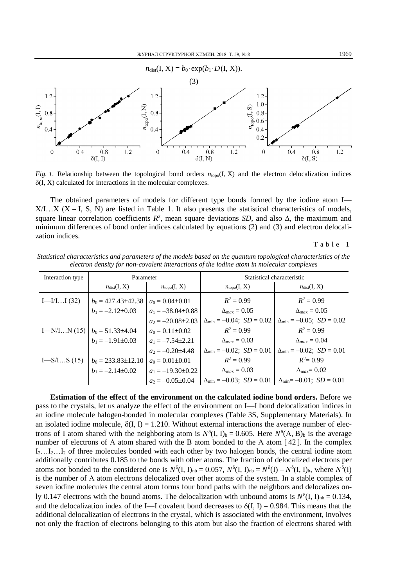

*Fig. 1.* Relationship between the topological bond orders  $n_{topo}(I, X)$  and the electron delocalization indices  $\delta(I, X)$  calculated for interactions in the molecular complexes.

The obtained parameters of models for different type bonds formed by the iodine atom I—  $X/I...X$  ( $X = I$ , S, N) are listed in Table 1. It also presents the statistical characteristics of models, square linear correlation coefficients  $R^2$ , mean square deviations *SD*, and also  $\Delta$ , the maximum and minimum differences of bond order indices calculated by equations (2) and (3) and electron delocalization indices.

Table 1

| electron density for non-covatent interactions of the todine diom in molecular complexes |                          |                         |                                       |                                          |  |  |  |  |
|------------------------------------------------------------------------------------------|--------------------------|-------------------------|---------------------------------------|------------------------------------------|--|--|--|--|
| Interaction type                                                                         | Parameter                |                         | Statistical characteristic            |                                          |  |  |  |  |
|                                                                                          | $n_{dist}(I, X)$         | $n_{\text{topo}}(I, X)$ | $n_{topo}(I, X)$                      | $n_{dist}(I, X)$                         |  |  |  |  |
| $I$ —I/II (32)                                                                           | $b_0 = 427.43 \pm 42.38$ | $a_0 = 0.04 \pm 0.01$   | $R^2 = 0.99$                          | $R^2 = 0.99$                             |  |  |  |  |
|                                                                                          | $b_1 = -2.12 \pm 0.03$   | $a_1 = -38.04 \pm 0.88$ | $\Delta_{\text{max}} = 0.05$          | $\Delta_{\text{max}} = 0.05$             |  |  |  |  |
|                                                                                          |                          | $a_2 = -20.08 \pm 2.03$ | $\Delta_{\min} = -0.04; SD = 0.02$    | $\Delta_{\min} = -0.05; SD = 0.02$       |  |  |  |  |
| $I-M/IN(15)$                                                                             | $b_0 = 51.33 \pm 4.04$   | $a_0 = 0.11 \pm 0.02$   | $R^2 = 0.99$                          | $R^2 = 0.99$                             |  |  |  |  |
|                                                                                          | $b_1 = -1.91 \pm 0.03$   | $a_1 = -7.54 \pm 2.21$  | $\Delta_{\text{max}} = 0.03$          | $\Delta_{\rm max} = 0.04$                |  |  |  |  |
|                                                                                          |                          | $a_2 = -0.20 \pm 4.48$  | $\Delta_{\min} = -0.02$ ; $SD = 0.01$ | $\Delta_{\min} = -0.02$ ; $SD = 0.01$    |  |  |  |  |
| $I-S/IS(15)$                                                                             | $b_0$ = 233.83±12.10     | $a_0 = 0.01 \pm 0.01$   | $R^2 = 0.99$                          | $R^2 = 0.99$                             |  |  |  |  |
|                                                                                          | $b_1 = -2.14 \pm 0.02$   | $a_1 = -19.30 \pm 0.22$ | $\Delta_{\text{max}} = 0.03$          | $\Delta_{\text{max}}=0.02$               |  |  |  |  |
|                                                                                          |                          | $a_2 = -0.05 \pm 0.04$  | $\Delta_{\min} = -0.03; SD = 0.01$    | $\Delta_{\text{min}} = -0.01; SD = 0.01$ |  |  |  |  |

*Statistical characteristics and parameters of the models based on the quantum topological characteristics of the electron density for non-covalent interactions of the iodine atom in molecular complexes*

**Estimation of the effect of the environment on the calculated iodine bond orders.** Before we pass to the crystals, let us analyze the effect of the environment on I—I bond delocalization indices in an iodine molecule halogen-bonded in molecular complexes (Table 3S, Supplementary Materials). In an isolated iodine molecule,  $\delta(I, I) = 1.210$ . Without external interactions the average number of electrons of I atom shared with the neighboring atom is  $N^{\delta}$ (I, I)<sub>b</sub> = 0.605. Here  $N^{\delta}(A, B)$ <sub>b</sub> is the average number of electrons of A atom shared with the B atom bonded to the A atom [42]. In the complex  $I_2...I_2...I_2$  of three molecules bonded with each other by two halogen bonds, the central iodine atom additionally contributes 0.185 to the bonds with other atoms. The fraction of delocalized electrons per atoms not bonded to the considered one is  $N^{\delta}$ (I, I)<sub>nb</sub> = 0.057,  $N^{\delta}$ (I, I)<sub>nb</sub> =  $N^{\delta}$ (I) –  $N^{\delta}$ (I, I)<sub>b</sub>, where  $N^{\delta}$ (I) is the number of А atom electrons delocalized over other atoms of the system. In a stable complex of seven iodine molecules the central atom forms four bond paths with the neighbors and delocalizes only 0.147 electrons with the bound atoms. The delocalization with unbound atoms is  $N^{\delta}$ (I, I)<sub>nb</sub> = 0.134, and the delocalization index of the I—I covalent bond decreases to  $\delta(I, I) = 0.984$ . This means that the additional delocalization of electrons in the crystal, which is associated with the environment, involves not only the fraction of electrons belonging to this atom but also the fraction of electrons shared with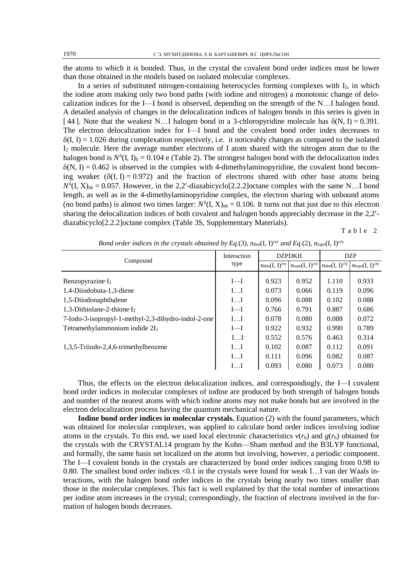the atoms to which it is bonded. Thus, in the crystal the covalent bond order indices must be lower than those obtained in the models based on isolated molecular complexes.

In a series of substituted nitrogen-containing heterocycles forming complexes with  $I_2$ , in which the iodine atom making only two bond paths (with iodine and nitrogen) a monotonic change of delocalization indices for the I—I bond is observed, depending on the strength of the N…I halogen bond. A detailed analysis of changes in the delocalization indices of halogen bonds in this series is given in [44]. Note that the weakest N…I halogen bond in a 3-chloropyridine molecule has  $\delta(N, I) = 0.391$ . The electron delocalization index for I—I bond and the covalent bond order index decreases to  $\delta(I, I) = 1.026$  during complexation respectively, i.e. it noticeably changes as compared to the isolated I<sup>2</sup> molecule. Here the average number electrons of I atom shared with the nitrogen atom due to the halogen bond is  $N^{\delta}$ (I, I)<sub>b</sub> = 0.104 e (Table 2). The strongest halogen bond with the delocalization index  $\delta(N, I) = 0.462$  is observed in the complex with 4-dimethylaminopyridine, the covalent bond becoming weaker  $(\delta(I, I) = 0.972)$  and the fraction of electrons shared with other base atoms being  $N^{\delta}$ (I, X)<sub>nb</sub> = 0.057. However, in the 2,2'-diazabicyclo[2.2.2] octane complex with the same N...I bond length, as well as in the 4-dimethylaminopyridine complex, the electron sharing with unbound atoms (no bond paths) is almost two times larger:  $N^{\delta}$ (I, X)<sub>nb</sub> = 0.106. It turns out that just due to this electron sharing the delocalization indices of both covalent and halogen bonds appreciably decrease in the 2,2 diazabicyclo[2.2.2]octane complex (Table 3S, Supplementary Materials).

Table 2

|                                                     | Interaction<br>type | <b>DZPDKH</b>          |                                      | <b>DZP</b>             |                                      |
|-----------------------------------------------------|---------------------|------------------------|--------------------------------------|------------------------|--------------------------------------|
| Compound                                            |                     | $n_{dist}(I, I)^{cry}$ | $n_{\text{topo}}(I, I)^{\text{cty}}$ | $n_{dist}(I, I)^{cry}$ | $n_{\text{topo}}(I, I)^{\text{cty}}$ |
| Benzopyrazine $I_2$                                 | $I-1$               | 0.923                  | 0.952                                | 1.110                  | 0.933                                |
| 1,4-Diiodobuta-1,3-diene                            | II                  | 0.073                  | 0.066                                | 0.119                  | 0.096                                |
| 1,5-Diiodonaphthalene                               | II                  | 0.096                  | 0.088                                | 0.102                  | 0.088                                |
| 1,3-Dithiolane-2-thione $I_2$                       | $I-1$               | 0.766                  | 0.791                                | 0.887                  | 0.686                                |
| 7-Iodo-3-isopropyl-1-methyl-2,3-dihydro-indol-2-one | II                  | 0.078                  | 0.080                                | 0.088                  | 0.072                                |
| Tetramethylammonium iodide $2I_2$                   | $I-1$               | 0.922                  | 0.932                                | 0.990                  | 0.789                                |
|                                                     | $II^-$              | 0.552                  | 0.576                                | 0.463                  | 0.314                                |
| 1,3,5-Triiodo-2,4,6-trimethylbenzene                | II                  | 0.102                  | 0.087                                | 0.112                  | 0.091                                |
|                                                     | II                  | 0.111                  | 0.096                                | 0.082                  | 0.087                                |
|                                                     | II                  | 0.093                  | 0.080                                | 0.073                  | 0.080                                |

*Bond order indices in the crystals obtained by Eq.(3),*  $n_{dist}(I, I)$ *<sup>cry</sup> and Eq.(2),*  $n_{top}(I, I)$ *<sup>cry</sup>* 

Thus, the effects on the electron delocalization indices, and correspondingly, the I—I covalent bond order indices in molecular complexes of iodine are produced by both strength of halogen bonds and number of the nearest atoms with which iodine atoms may not make bonds but are involved in the electron delocalization process having the quantum mechanical nature.

**Iodine bond order indices in molecular crystals.** Equation (2) with the found parameters, which was obtained for molecular complexes, was applied to calculate bond order indices involving iodine atoms in the crystals. To this end, we used local electronic characteristics  $v(r_b)$  and  $g(r_b)$  obtained for the crystals with the CRYSTAL14 program by the Kohn—Sham method and the B3LYP functional, and formally, the same basis set localized on the atoms but involving, however, a periodic component. The I—I covalent bonds in the crystals are characterized by bond order indices ranging from 0.98 to 0.80. The smallest bond order indices <0.1 in the crystals were found for weak I…I van der Waals interactions, with the halogen bond order indices in the crystals being nearly two times smaller than those in the molecular complexes. This fact is well explained by that the total number of interactions per iodine atom increases in the crystal; correspondingly, the fraction of electrons involved in the formation of halogen bonds decreases.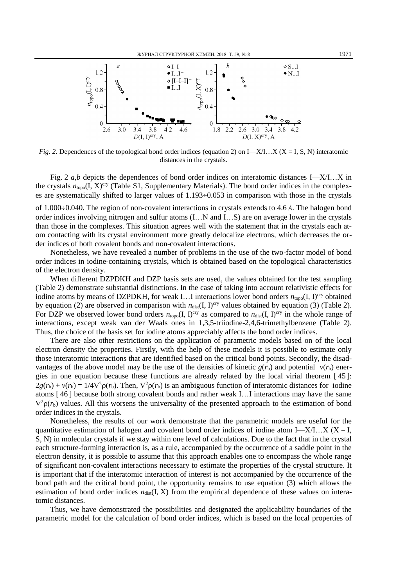

*Fig.* 2. Dependences of the topological bond order indices (equation 2) on I—X/I…X (X = I, S, N) interatomic distances in the crystals.

Fig. 2 *a*,*b* depicts the dependences of bond order indices on interatomic distances I—X/I…X in the crystals  $n_{\text{topo}}(I, X)^{\text{cty}}$  (Table S1, Supplementary Materials). The bond order indices in the complexes are systematically shifted to larger values of  $1.193\div0.053$  in comparison with those in the crystals

of 1.000÷0.040. The region of non-covalent interactions in crystals extends to 4.6 Å. The halogen bond order indices involving nitrogen and sulfur atoms (I…N and I…S) are on average lower in the crystals than those in the complexes. This situation agrees well with the statement that in the crystals each atom contacting with its crystal environment more greatly delocalize electrons, which decreases the order indices of both covalent bonds and non-covalent interactions.

Nonetheless, we have revealed a number of problems in the use of the two-factor model of bond order indices in iodine-containing crystals, which is obtained based on the topological characteristics of the electron density.

When different DZPDKH and DZP basis sets are used, the values obtained for the test sampling (Table 2) demonstrate substantial distinctions. In the case of taking into account relativistic effects for iodine atoms by means of DZPDKH, for weak I...I interactions lower bond orders  $n_{\text{topo}}(I, I)^{\text{cry}}$  obtained by equation (2) are observed in comparison with  $n_{dist}(I, I)^{cry}$  values obtained by equation (3) (Table 2). For DZP we observed lower bond orders  $n_{\text{topo}}(I, I)^{\text{cty}}$  as compared to  $n_{\text{dist}}(I, I)^{\text{cty}}$  in the whole range of interactions, except weak van der Waals ones in 1,3,5-triiodine-2,4,6-trimethylbenzene (Table 2). Thus, the choice of the basis set for iodine atoms appreciably affects the bond order indices.

There are also other restrictions on the application of parametric models based on of the local electron density the properties. Firstly, with the help of these models it is possible to estimate only those interatomic interactions that are identified based on the critical bond points. Secondly, the disadvantages of the above model may be the use of the densities of kinetic  $g(r_b)$  and potential  $v(r_b)$  energies in one equation because these functions are already related by the local virial theorem [ 45 ]:  $2g(r_b) + v(r_b) = 1/4\nabla^2 \rho(r_b)$ . Then,  $\nabla^2 \rho(r_b)$  is an ambiguous function of interatomic distances for iodine atoms [ 46 ] because both strong covalent bonds and rather weak I…I interactions may have the same  $\nabla^2 \rho(r_b)$  values. All this worsens the universality of the presented approach to the estimation of bond order indices in the crystals.

Nonetheless, the results of our work demonstrate that the parametric models are useful for the quantitative estimation of halogen and covalent bond order indices of iodine atom I—X/I…X ( $X = I$ , S, N) in molecular crystals if we stay within one level of calculations. Due to the fact that in the crystal each structure-forming interaction is, as a rule, accompanied by the occurrence of a saddle point in the electron density, it is possible to assume that this approach enables one to encompass the whole range of significant non-covalent interactions necessary to estimate the properties of the crystal structure. It is important that if the interatomic interaction of interest is not accompanied by the occurrence of the bond path and the critical bond point, the opportunity remains to use equation (3) which allows the estimation of bond order indices  $n_{dist}(I, X)$  from the empirical dependence of these values on interatomic distances.

Thus, we have demonstrated the possibilities and designated the applicability boundaries of the parametric model for the calculation of bond order indices, which is based on the local properties of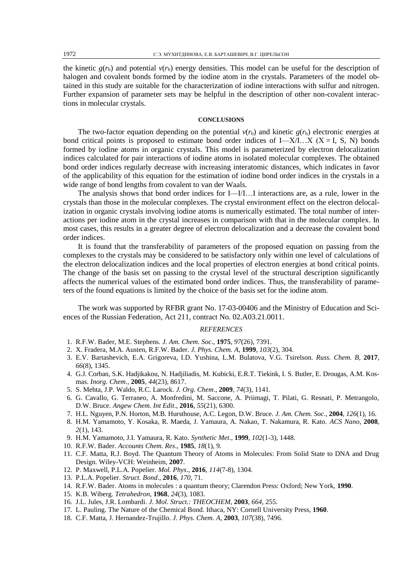the kinetic  $g(r_b)$  and potential  $v(r_b)$  energy densities. This model can be useful for the description of halogen and covalent bonds formed by the iodine atom in the crystals. Parameters of the model obtained in this study are suitable for the characterization of iodine interactions with sulfur and nitrogen. Further expansion of parameter sets may be helpful in the description of other non-covalent interactions in molecular crystals.

### **CONCLUSIONS**

The two-factor equation depending on the potential  $v(r_b)$  and kinetic  $g(r_b)$  electronic energies at bond critical points is proposed to estimate bond order indices of I—X/I…X (X = I, S, N) bonds formed by iodine atoms in organic crystals. This model is parameterized by electron delocalization indices calculated for pair interactions of iodine atoms in isolated molecular complexes. The obtained bond order indices regularly decrease with increasing interatomic distances, which indicates in favor of the applicability of this equation for the estimation of iodine bond order indices in the crystals in a wide range of bond lengths from covalent to van der Waals*.* 

The analysis shows that bond order indices for I—I/I…I interactions are, as a rule, lower in the crystals than those in the molecular complexes. The crystal environment effect on the electron delocalization in organic crystals involving iodine atoms is numerically estimated. The total number of interactions per iodine atom in the crystal increases in comparison with that in the molecular complex. In most cases, this results in a greater degree of electron delocalization and a decrease the covalent bond order indices.

It is found that the transferability of parameters of the proposed equation on passing from the complexes to the crystals may be considered to be satisfactory only within one level of calculations of the electron delocalization indices and the local properties of electron energies at bond critical points. The change of the basis set on passing to the crystal level of the structural description significantly affects the numerical values of the estimated bond order indices. Thus, the transferability of parameters of the found equations is limited by the choice of the basis set for the iodine atom.

The work was supported by RFBR grant No. 17-03-00406 and the Ministry of Education and Sciences of the Russian Federation, Act 211, contract No. 02.A03.21.0011.

#### *REFERENCES*

- 1. R.F.W. Bader, M.E. Stephens. *J. Am. Chem. Soc*., **1975**, *97*(26), 7391.
- 2. X. Fradera, M.A. Austen, R.F.W. Bader. *J. Phys. Chem. A*, **1999**, *103*(2), 304.
- 3. E.V. Bartashevich, E.A. Grigoreva, I.D. Yushina, L.M. Bulatova, V.G. Tsirelson. *Russ. Chem. B*, **2017**, *66*(8), 1345.
- 4. G.J. Corban, S.K. Hadjikakou, N. Hadjiliadis, M. Kubicki, E.R.T. Tiekink, I. S. Butler, E. Drougas, A.M. Kosmas. *Inorg. Chem*., **2005**, *44*(23), 8617.
- 5. S. Mehta, J.P. Waldo, R.C. Larock. *J. Org. Chem*., **2009**, *74*(3), 1141.
- 6. G. Cavallo, G. Terraneo, A. Monfredini, M. Saccone, A. Priimagi, T. Pilati, G. Resnati, P. Metrangolo, D.W. Bruce. *Angew Chem. Int Edit*., **2016**, *55*(21), 6300.
- 7. H.L. Nguyen, P.N. Horton, M.B. Hursthouse, A.C. Legon, D.W. Bruce. *J. Am. Chem. Soc*., **2004**, *126*(1), 16.
- 8. H.M. Yamamoto, Y. Kosaka, R. Maeda, J. Yamaura, A. Nakao, T. Nakamura, R. Kato. *ACS Nano*, **2008**, *2*(1), 143.
- 9. H.M. Yamamoto, J.I. Yamaura, R. Kato. *Synthetic Met*., **1999**, *102*(1-3), 1448.
- 10. R.F.W. Bader. *Accounts Chem. Res*., **1985**, *18*(1), 9.
- 11. C.F. Matta, R.J. Boyd. The Quantum Theory of Atoms in Molecules: From Solid State to DNA and Drug Design. Wiley-VCH: Weinheim, **2007**.
- 12. P. Maxwell, P.L.A. Popelier. *Mol. Phys*., **2016**, *114*(7-8), 1304.
- 13. P.L.A. Popelier. *Struct. Bond*., **2016**, *170*, 71.
- 14. R.F.W. Bader. Atoms in molecules : a quantum theory; Clarendon Press: Oxford; New York, **1990**.
- 15. K.B. Wiberg. *Tetrahedron*, **1968**, *24*(3), 1083.
- 16. J.L. Jules, J.R. Lombardi. *J. Mol. Struct.: THEOCHEM*, **2003**, *664*, 255.
- 17. L. Pauling. The Nature of the Chemical Bond. Ithaca, NY: Cornell University Press, **1960**.
- 18. C.F. Matta, J. Hernandez-Trujillo. *J. Phys. Chem. A*, **2003**, *107*(38), 7496.